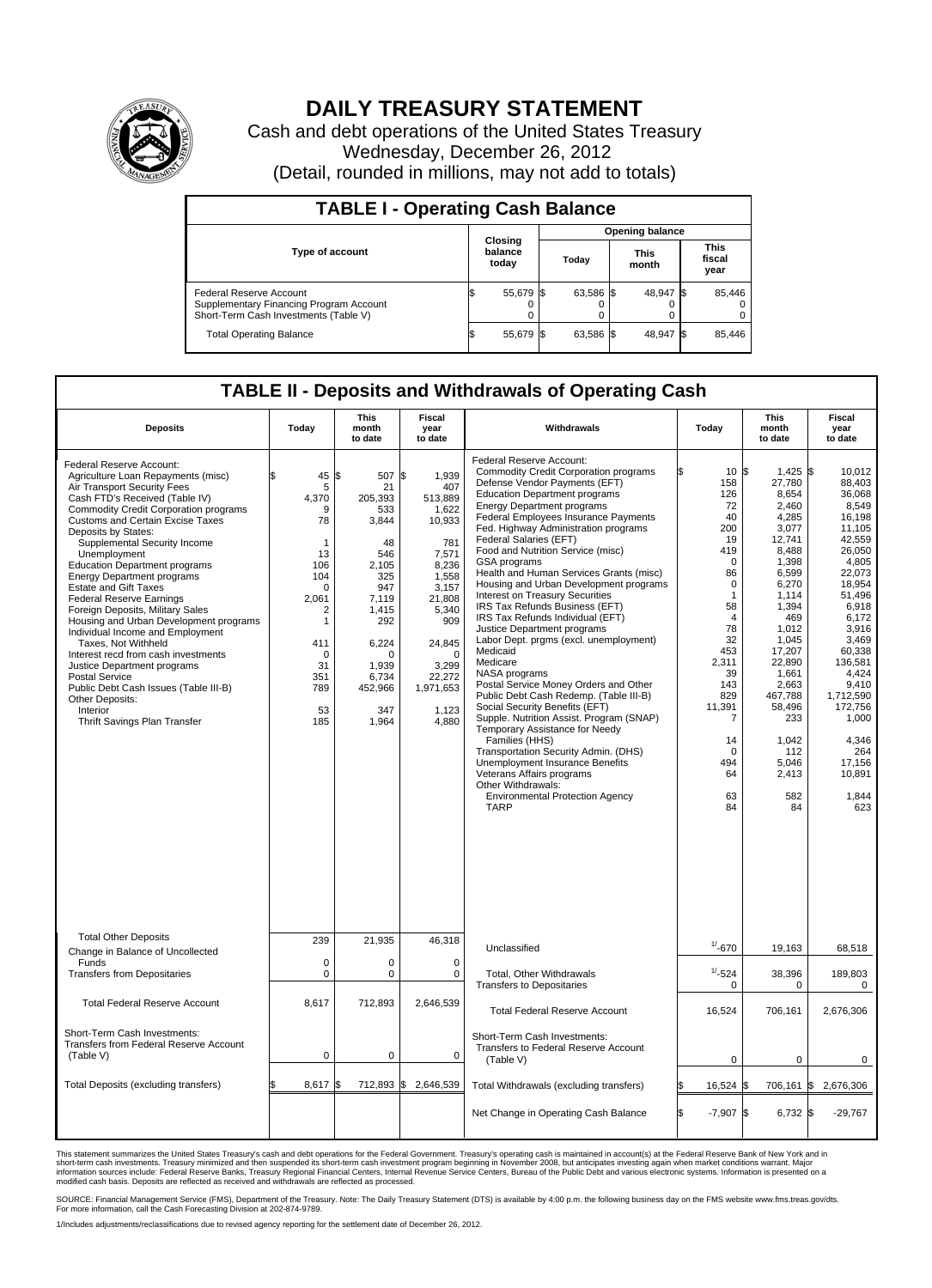

## **DAILY TREASURY STATEMENT**

Cash and debt operations of the United States Treasury Wednesday, December 26, 2012 (Detail, rounded in millions, may not add to totals)

| <b>TABLE I - Operating Cash Balance</b>                                                                     |                             |           |                        |                               |  |                               |  |                         |  |
|-------------------------------------------------------------------------------------------------------------|-----------------------------|-----------|------------------------|-------------------------------|--|-------------------------------|--|-------------------------|--|
|                                                                                                             | Closing<br>balance<br>today |           | <b>Opening balance</b> |                               |  |                               |  |                         |  |
| <b>Type of account</b>                                                                                      |                             |           |                        | <b>This</b><br>Today<br>month |  | <b>This</b><br>fiscal<br>year |  |                         |  |
| Federal Reserve Account<br>Supplementary Financing Program Account<br>Short-Term Cash Investments (Table V) |                             | 55,679 \$ |                        | 63,586 \$                     |  | 48,947 \$<br>0                |  | 85,446<br>$^{(1)}$<br>0 |  |
| <b>Total Operating Balance</b>                                                                              |                             | 55,679    |                        | 63,586 \$                     |  | 48,947 \$                     |  | 85,446                  |  |

## **TABLE II - Deposits and Withdrawals of Operating Cash**

| <b>Deposits</b>                                                                                                                                                                                                                                                                                                                                                                                                                                                                                                                                                                                                                                                                                                                                                                     | Today                                                                                                                                                 | <b>This</b><br>month<br>to date                                                                                                                                                  | Fiscal<br>year<br>to date                                                                                                                                                                  | Withdrawals                                                                                                                                                                                                                                                                                                                                                                                                                                                                                                                                                                                                                                                                                                                                                                                                                                                                                                                                                                                                                                                                              | Todav                                                                                                                                                                                                                                                         | This<br>month<br>to date                                                                                                                                                                                                                                           | Fiscal<br>year<br>to date                                                                                                                                                                                                                                                          |  |  |
|-------------------------------------------------------------------------------------------------------------------------------------------------------------------------------------------------------------------------------------------------------------------------------------------------------------------------------------------------------------------------------------------------------------------------------------------------------------------------------------------------------------------------------------------------------------------------------------------------------------------------------------------------------------------------------------------------------------------------------------------------------------------------------------|-------------------------------------------------------------------------------------------------------------------------------------------------------|----------------------------------------------------------------------------------------------------------------------------------------------------------------------------------|--------------------------------------------------------------------------------------------------------------------------------------------------------------------------------------------|------------------------------------------------------------------------------------------------------------------------------------------------------------------------------------------------------------------------------------------------------------------------------------------------------------------------------------------------------------------------------------------------------------------------------------------------------------------------------------------------------------------------------------------------------------------------------------------------------------------------------------------------------------------------------------------------------------------------------------------------------------------------------------------------------------------------------------------------------------------------------------------------------------------------------------------------------------------------------------------------------------------------------------------------------------------------------------------|---------------------------------------------------------------------------------------------------------------------------------------------------------------------------------------------------------------------------------------------------------------|--------------------------------------------------------------------------------------------------------------------------------------------------------------------------------------------------------------------------------------------------------------------|------------------------------------------------------------------------------------------------------------------------------------------------------------------------------------------------------------------------------------------------------------------------------------|--|--|
| Federal Reserve Account:<br>Agriculture Loan Repayments (misc)<br>Air Transport Security Fees<br>Cash FTD's Received (Table IV)<br>Commodity Credit Corporation programs<br><b>Customs and Certain Excise Taxes</b><br>Deposits by States:<br>Supplemental Security Income<br>Unemployment<br><b>Education Department programs</b><br><b>Energy Department programs</b><br><b>Estate and Gift Taxes</b><br><b>Federal Reserve Earnings</b><br>Foreign Deposits, Military Sales<br>Housing and Urban Development programs<br>Individual Income and Employment<br>Taxes, Not Withheld<br>Interest recd from cash investments<br>Justice Department programs<br>Postal Service<br>Public Debt Cash Issues (Table III-B)<br>Other Deposits:<br>Interior<br>Thrift Savings Plan Transfer | 45<br>5<br>4,370<br>9<br>78<br>$\mathbf{1}$<br>13<br>106<br>104<br>$\Omega$<br>2,061<br>2<br>1<br>411<br>$\mathbf 0$<br>31<br>351<br>789<br>53<br>185 | 1\$<br>507 \$<br>21<br>205,393<br>533<br>3,844<br>48<br>546<br>2.105<br>325<br>947<br>7,119<br>1,415<br>292<br>6,224<br>$\mathbf 0$<br>1,939<br>6.734<br>452,966<br>347<br>1,964 | 1,939<br>407<br>513,889<br>1,622<br>10,933<br>781<br>7,571<br>8,236<br>1,558<br>3,157<br>21,808<br>5,340<br>909<br>24,845<br>$\mathbf 0$<br>3,299<br>22,272<br>1,971,653<br>1,123<br>4,880 | Federal Reserve Account:<br><b>Commodity Credit Corporation programs</b><br>Defense Vendor Payments (EFT)<br><b>Education Department programs</b><br><b>Energy Department programs</b><br>Federal Employees Insurance Payments<br>Fed. Highway Administration programs<br>Federal Salaries (EFT)<br>Food and Nutrition Service (misc)<br>GSA programs<br>Health and Human Services Grants (misc)<br>Housing and Urban Development programs<br>Interest on Treasury Securities<br>IRS Tax Refunds Business (EFT)<br>IRS Tax Refunds Individual (EFT)<br>Justice Department programs<br>Labor Dept. prgms (excl. unemployment)<br>Medicaid<br>Medicare<br>NASA programs<br>Postal Service Money Orders and Other<br>Public Debt Cash Redemp. (Table III-B)<br>Social Security Benefits (EFT)<br>Supple. Nutrition Assist. Program (SNAP)<br>Temporary Assistance for Needy<br>Families (HHS)<br>Transportation Security Admin. (DHS)<br><b>Unemployment Insurance Benefits</b><br>Veterans Affairs programs<br>Other Withdrawals:<br><b>Environmental Protection Agency</b><br><b>TARP</b> | 10 <sup>5</sup><br>158<br>126<br>72<br>40<br>200<br>19<br>419<br>$\Omega$<br>86<br>$\mathbf 0$<br>$\mathbf{1}$<br>58<br>$\overline{4}$<br>78<br>32<br>453<br>2,311<br>39<br>143<br>829<br>11,391<br>$\overline{7}$<br>14<br>$\Omega$<br>494<br>64<br>63<br>84 | $1,425$ \$<br>27,780<br>8,654<br>2,460<br>4,285<br>3,077<br>12,741<br>8.488<br>1,398<br>6,599<br>6,270<br>1.114<br>1,394<br>469<br>1,012<br>1,045<br>17,207<br>22,890<br>1,661<br>2,663<br>467,788<br>58,496<br>233<br>1,042<br>112<br>5,046<br>2,413<br>582<br>84 | 10.012<br>88,403<br>36,068<br>8,549<br>16.198<br>11,105<br>42,559<br>26.050<br>4,805<br>22,073<br>18,954<br>51.496<br>6,918<br>6,172<br>3,916<br>3.469<br>60.338<br>136,581<br>4.424<br>9,410<br>1,712,590<br>172,756<br>1,000<br>4,346<br>264<br>17,156<br>10,891<br>1,844<br>623 |  |  |
| <b>Total Other Deposits</b><br>Change in Balance of Uncollected                                                                                                                                                                                                                                                                                                                                                                                                                                                                                                                                                                                                                                                                                                                     | 239                                                                                                                                                   | 21,935                                                                                                                                                                           | 46,318                                                                                                                                                                                     | Unclassified                                                                                                                                                                                                                                                                                                                                                                                                                                                                                                                                                                                                                                                                                                                                                                                                                                                                                                                                                                                                                                                                             | $1/ - 670$                                                                                                                                                                                                                                                    | 19,163                                                                                                                                                                                                                                                             | 68,518                                                                                                                                                                                                                                                                             |  |  |
| Funds<br><b>Transfers from Depositaries</b>                                                                                                                                                                                                                                                                                                                                                                                                                                                                                                                                                                                                                                                                                                                                         | 0<br>0                                                                                                                                                | 0<br>$\pmb{0}$                                                                                                                                                                   | $\mathbf 0$<br>$\mathbf 0$                                                                                                                                                                 | Total, Other Withdrawals<br><b>Transfers to Depositaries</b>                                                                                                                                                                                                                                                                                                                                                                                                                                                                                                                                                                                                                                                                                                                                                                                                                                                                                                                                                                                                                             | $1/ - 524$<br>$\mathbf 0$                                                                                                                                                                                                                                     | 38,396<br>$\Omega$                                                                                                                                                                                                                                                 | 189,803<br>$\Omega$                                                                                                                                                                                                                                                                |  |  |
| <b>Total Federal Reserve Account</b>                                                                                                                                                                                                                                                                                                                                                                                                                                                                                                                                                                                                                                                                                                                                                | 8,617                                                                                                                                                 | 712,893                                                                                                                                                                          | 2,646,539                                                                                                                                                                                  | <b>Total Federal Reserve Account</b>                                                                                                                                                                                                                                                                                                                                                                                                                                                                                                                                                                                                                                                                                                                                                                                                                                                                                                                                                                                                                                                     | 16,524                                                                                                                                                                                                                                                        | 706,161                                                                                                                                                                                                                                                            | 2,676,306                                                                                                                                                                                                                                                                          |  |  |
| Short-Term Cash Investments:<br>Transfers from Federal Reserve Account<br>(Table V)                                                                                                                                                                                                                                                                                                                                                                                                                                                                                                                                                                                                                                                                                                 | $\mathbf 0$                                                                                                                                           | $\mathbf 0$                                                                                                                                                                      | $\mathbf 0$                                                                                                                                                                                | Short-Term Cash Investments:<br>Transfers to Federal Reserve Account<br>(Table V)                                                                                                                                                                                                                                                                                                                                                                                                                                                                                                                                                                                                                                                                                                                                                                                                                                                                                                                                                                                                        | 0                                                                                                                                                                                                                                                             | 0                                                                                                                                                                                                                                                                  | 0                                                                                                                                                                                                                                                                                  |  |  |
| Total Deposits (excluding transfers)                                                                                                                                                                                                                                                                                                                                                                                                                                                                                                                                                                                                                                                                                                                                                | 8,617                                                                                                                                                 | 1\$                                                                                                                                                                              | 712,893 \$2,646,539                                                                                                                                                                        | Total Withdrawals (excluding transfers)                                                                                                                                                                                                                                                                                                                                                                                                                                                                                                                                                                                                                                                                                                                                                                                                                                                                                                                                                                                                                                                  | 16,524                                                                                                                                                                                                                                                        | 706,161 \$<br>I\$                                                                                                                                                                                                                                                  | 2,676,306                                                                                                                                                                                                                                                                          |  |  |
|                                                                                                                                                                                                                                                                                                                                                                                                                                                                                                                                                                                                                                                                                                                                                                                     |                                                                                                                                                       |                                                                                                                                                                                  |                                                                                                                                                                                            | Net Change in Operating Cash Balance                                                                                                                                                                                                                                                                                                                                                                                                                                                                                                                                                                                                                                                                                                                                                                                                                                                                                                                                                                                                                                                     | $-7,907$ \$<br>ß.                                                                                                                                                                                                                                             | 6,732 \$                                                                                                                                                                                                                                                           | $-29,767$                                                                                                                                                                                                                                                                          |  |  |

This statement summarizes the United States Treasury's cash and debt operations for the Federal Government. Treasury's operating cash is maintained in account(s) at the Federal Reserve Bank of New York and in<br>short-term ca

SOURCE: Financial Management Service (FMS), Department of the Treasury. Note: The Daily Treasury Statement (DTS) is available by 4:00 p.m. the following business day on the FMS website www.fms.treas.gov/dts.<br>For more infor

1/Includes adjustments/reclassifications due to revised agency reporting for the settlement date of December 26, 2012.